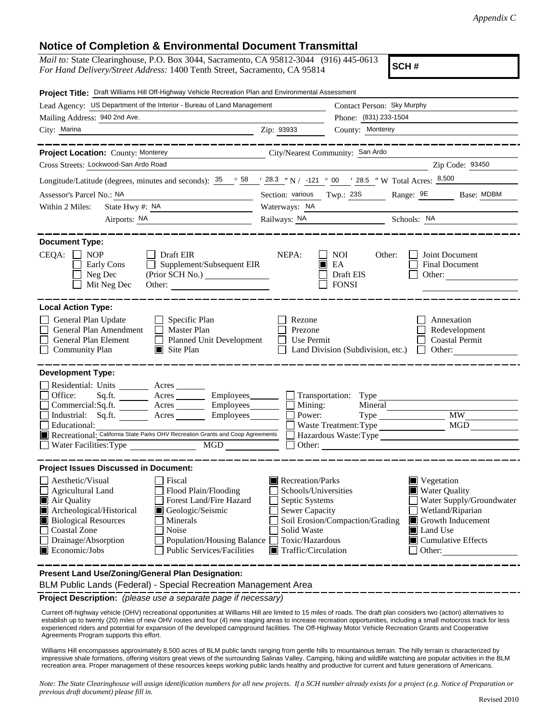## **Notice of Completion & Environmental Document Transmittal**

| <i>Mail to:</i> State Clearinghouse, P.O. Box 3044, Sacramento, CA 95812-3044 (916) 445-0613 |
|----------------------------------------------------------------------------------------------|
| <i>For Hand Delivery/Street Address:</i> 1400 Tenth Street, Sacramento, CA 95814             |

**SCH #**

| Project Title: Draft Williams Hill Off-Highway Vehicle Recreation Plan and Environmental Assessment                                                                                                                                                                                                                                                             |                                                                                                                                                      |                                                                                            |                                                                                                                                                                      |
|-----------------------------------------------------------------------------------------------------------------------------------------------------------------------------------------------------------------------------------------------------------------------------------------------------------------------------------------------------------------|------------------------------------------------------------------------------------------------------------------------------------------------------|--------------------------------------------------------------------------------------------|----------------------------------------------------------------------------------------------------------------------------------------------------------------------|
| Lead Agency: US Department of the Interior - Bureau of Land Management                                                                                                                                                                                                                                                                                          |                                                                                                                                                      | Contact Person: Sky Murphy                                                                 |                                                                                                                                                                      |
| Mailing Address: 940 2nd Ave.                                                                                                                                                                                                                                                                                                                                   |                                                                                                                                                      | Phone: (831) 233-1504                                                                      |                                                                                                                                                                      |
| City: Marina<br><u> 1989 - Johann Barnett, fransk politiker (d. 19</u>                                                                                                                                                                                                                                                                                          | Zip: 93933                                                                                                                                           | County: Monterey                                                                           |                                                                                                                                                                      |
|                                                                                                                                                                                                                                                                                                                                                                 |                                                                                                                                                      |                                                                                            |                                                                                                                                                                      |
| <b>Project Location: County: Monterey</b>                                                                                                                                                                                                                                                                                                                       | City/Nearest Community: San Ardo                                                                                                                     |                                                                                            |                                                                                                                                                                      |
| Cross Streets: Lockwood-San Ardo Road                                                                                                                                                                                                                                                                                                                           |                                                                                                                                                      |                                                                                            | Zip Code: 93450                                                                                                                                                      |
| Longitude/Latitude (degrees, minutes and seconds): $\frac{35}{26}$ $\frac{58}{28.3}$ $\frac{728.3}{28.3}$ $\frac{7}{28.3}$ N / -121 $\degree$ 00 $\degree$ / 28.5 $\degree$ W Total Acres: $\frac{8,500}{28.3}$                                                                                                                                                 |                                                                                                                                                      |                                                                                            |                                                                                                                                                                      |
| Assessor's Parcel No.: NA<br><u> 1989 - Johann Barbara, martxa alemaniar a</u>                                                                                                                                                                                                                                                                                  |                                                                                                                                                      | Section: various Twp.: 23S Range: 9E Base: MDBM                                            |                                                                                                                                                                      |
| State Hwy #: NA<br>Within 2 Miles:<br><u> 1989 - Johann Barnett, fransk politiker (</u>                                                                                                                                                                                                                                                                         | Waterways: NA                                                                                                                                        |                                                                                            |                                                                                                                                                                      |
| Airports: NA                                                                                                                                                                                                                                                                                                                                                    |                                                                                                                                                      | Railways: NA Schools: NA                                                                   |                                                                                                                                                                      |
| <b>Document Type:</b><br>$CEQA: \Box$<br><b>NOP</b><br>Draft EIR<br>Supplement/Subsequent EIR<br>Early Cons<br>Neg Dec<br>(Prior SCH No.)<br>Mit Neg Dec                                                                                                                                                                                                        | NEPA:                                                                                                                                                | <b>NOI</b><br>Other:<br>EA<br>Draft EIS<br><b>FONSI</b>                                    | Joint Document<br>Final Document<br>Other:                                                                                                                           |
| <b>Local Action Type:</b><br>General Plan Update<br>Specific Plan<br>General Plan Amendment<br>$\Box$ Master Plan<br>General Plan Element<br>Planned Unit Development<br>$\Box$ Site Plan<br><b>Community Plan</b>                                                                                                                                              | Rezone<br>Prezone<br>Use Permit                                                                                                                      | Land Division (Subdivision, etc.)                                                          | Annexation<br>Redevelopment<br><b>Coastal Permit</b><br><b>Other:</b>                                                                                                |
| <b>Development Type:</b>                                                                                                                                                                                                                                                                                                                                        |                                                                                                                                                      |                                                                                            |                                                                                                                                                                      |
| Residential: Units ________ Acres _______<br>Office:<br>Sq.ft. _________ Acres ___________ Employees_________<br>Commercial:Sq.ft. _________ Acres __________ Employees________<br>Industrial: Sq.ft. Acres Employees<br>Educational:<br>Recreational: California State Parks OHV Recreation Grants and Coop Agreements<br>Water Facilities: Type<br><b>MGD</b> | Mining:<br>Power:                                                                                                                                    | Transportation: Type<br>Mineral<br>Waste Treatment: Type<br>Hazardous Waste:Type<br>Other: | <b>MW</b><br>MGD                                                                                                                                                     |
| <b>Project Issues Discussed in Document:</b>                                                                                                                                                                                                                                                                                                                    |                                                                                                                                                      |                                                                                            |                                                                                                                                                                      |
| Aesthetic/Visual<br>Fiscal<br>Agricultural Land<br>Flood Plain/Flooding<br>Air Quality<br>Forest Land/Fire Hazard<br>Archeological/Historical<br>Geologic/Seismic<br><b>Biological Resources</b><br>Minerals<br>Coastal Zone<br>Noise<br>Drainage/Absorption<br>Population/Housing Balance<br>$\blacksquare$ Economic/Jobs<br><b>Public Services/Facilities</b> | Recreation/Parks<br>Schools/Universities<br>Septic Systems<br>Sewer Capacity<br>Solid Waste<br>Toxic/Hazardous<br>$\blacksquare$ Traffic/Circulation | Soil Erosion/Compaction/Grading                                                            | ■ Vegetation<br>Water Quality<br>Water Supply/Groundwater<br>Wetland/Riparian<br>$\Box$ Growth Inducement<br>Land Use<br>$\blacksquare$ Cumulative Effects<br>Other: |
| Present Land Use/Zoning/General Plan Designation:<br>BLM Public Lands (Federal) - Special Recreation Management Area                                                                                                                                                                                                                                            |                                                                                                                                                      |                                                                                            |                                                                                                                                                                      |

**Project Description:** *(please use a separate page if necessary)*

 Current off-highway vehicle (OHV) recreational opportunities at Williams Hill are limited to 15 miles of roads. The draft plan considers two (action) alternatives to establish up to twenty (20) miles of new OHV routes and four (4) new staging areas to increase recreation opportunities, including a small motocross track for less experienced riders and potential for expansion of the developed campground facilities. The Off-Highway Motor Vehicle Recreation Grants and Cooperative Agreements Program supports this effort.

Williams Hill encompasses approximately 8,500 acres of BLM public lands ranging from gentle hills to mountainous terrain. The hilly terrain is characterized by impressive shale formations, offering visitors great views of the surrounding Salinas Valley. Camping, hiking and wildlife watching are popular activities in the BLM recreation area. Proper management of these resources keeps working public lands healthy and productive for current and future generations of Americans.

*Note: The State Clearinghouse will assign identification numbers for all new projects. If a SCH number already exists for a project (e.g. Notice of Preparation or previous draft document) please fill in.*